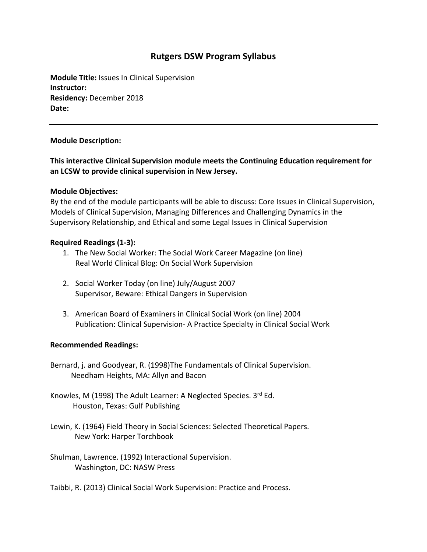# **Rutgers DSW Program Syllabus**

**Module Title:** Issues In Clinical Supervision **Instructor: Residency:** December 2018 **Date:**

### **Module Description:**

**This interactive Clinical Supervision module meets the Continuing Education requirement for an LCSW to provide clinical supervision in New Jersey.** 

### **Module Objectives:**

By the end of the module participants will be able to discuss: Core Issues in Clinical Supervision, Models of Clinical Supervision, Managing Differences and Challenging Dynamics in the Supervisory Relationship, and Ethical and some Legal Issues in Clinical Supervision

### **Required Readings (1-3):**

- 1. The New Social Worker: The Social Work Career Magazine (on line) Real World Clinical Blog: On Social Work Supervision
- 2. Social Worker Today (on line) July/August 2007 Supervisor, Beware: Ethical Dangers in Supervision
- 3. American Board of Examiners in Clinical Social Work (on line) 2004 Publication: Clinical Supervision- A Practice Specialty in Clinical Social Work

## **Recommended Readings:**

- Bernard, j. and Goodyear, R. (1998)The Fundamentals of Clinical Supervision. Needham Heights, MA: Allyn and Bacon
- Knowles, M (1998) The Adult Learner: A Neglected Species. 3rd Ed. Houston, Texas: Gulf Publishing
- Lewin, K. (1964) Field Theory in Social Sciences: Selected Theoretical Papers. New York: Harper Torchbook
- Shulman, Lawrence. (1992) Interactional Supervision. Washington, DC: NASW Press
- Taibbi, R. (2013) Clinical Social Work Supervision: Practice and Process.